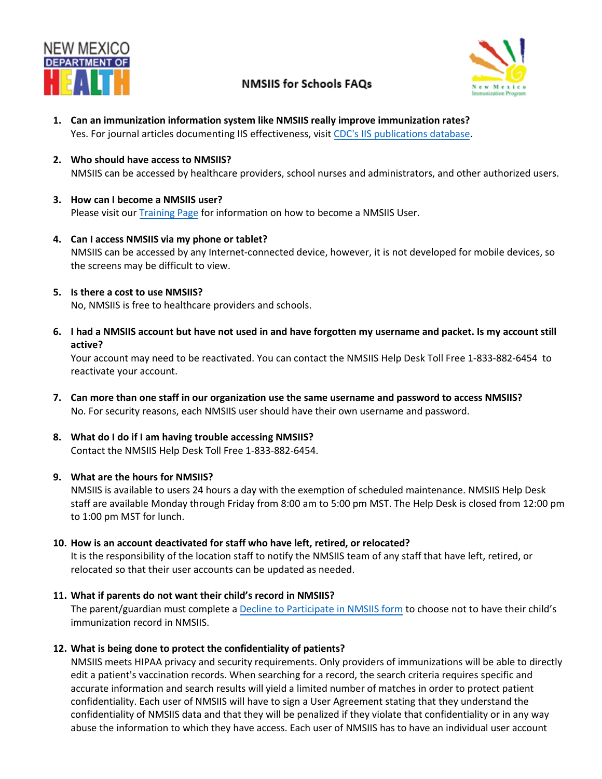

# **NMSIIS for Schools FAQs**



- **1. Can an immunization information system like NMSIIS really improve immunization rates?** Yes. For journal articles documenting IIS effectiveness, [visit](http://www2a.cdc.gov/vaccines/IIS/IISPubs/IISPubsMain.asp) [CDC's IIS publications](https://www2a.cdc.gov/vaccines/IIS/IISPubs/IISPubsMain.asp) database.
- **2. Who should have access to NMSIIS?** NMSIIS can be accessed by healthcare providers, school nurses and administrators, and other authorized users.
- **3. How can I become a NMSIIS user?** Please visit our [Training Page](https://nmhealth.org/about/phd/idb/imp/siis/train/) for information on how to become a NMSIIS User.
- **4. Can I access NMSIIS via my phone or tablet?** NMSIIS can be accessed by any Internet-connected device, however, it is not developed for mobile devices, so the screens may be difficult to view.
- **5. Is there a cost to use NMSIIS?**

No, NMSIIS is free to healthcare providers and schools.

**6. I had a NMSIIS account but have not used in and have forgotten my username and packet. Is my account still active?**

Your account may need to be reactivated. You can contact the NMSIIS Help Desk Toll Free 1-833-882-6454 to reactivate your account.

- **7. Can more than one staff in our organization use the same username and password to access NMSIIS?** No. For security reasons, each NMSIIS user should have their own username and password.
- **8. What do I do if I am having trouble accessing NMSIIS?** Contact the NMSIIS Help Desk Toll Free 1-833-882-6454.

## **9. What are the hours for NMSIIS?**

NMSIIS is available to users 24 hours a day with the exemption of scheduled maintenance. NMSIIS Help Desk staff are available Monday through Friday from 8:00 am to 5:00 pm MST. The Help Desk is closed from 12:00 pm to 1:00 pm MST for lunch.

**10. How is an account deactivated for staff who have left, retired, or relocated?**

It is the responsibility of the location staff to notify the NMSIIS team of any staff that have left, retired, or relocated so that their user accounts can be updated as needed.

**11. What if parents do not want their child's record in NMSIIS?**

The parent/guardian must complete a Decline to [Participate in NMSIIS form](https://nmhealth.org/publication/view/form/550/) to choose not to have their child's immunization record in NMSIIS.

**12. What is being done to protect the confidentiality of patients?**

NMSIIS meets HIPAA privacy and security requirements. Only providers of immunizations will be able to directly edit a patient's vaccination records. When searching for a record, the search criteria requires specific and accurate information and search results will yield a limited number of matches in order to protect patient confidentiality. Each user of NMSIIS will have to sign a User Agreement stating that they understand the confidentiality of NMSIIS data and that they will be penalized if they violate that confidentiality or in any way abuse the information to which they have access. Each user of NMSIIS has to have an individual user account